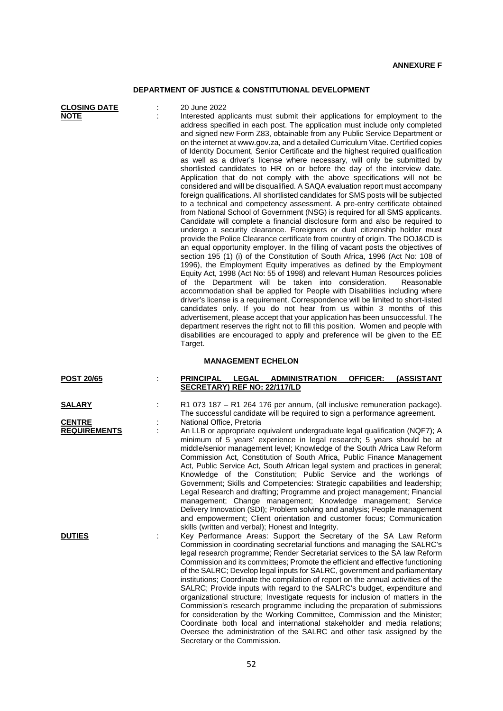## **DEPARTMENT OF JUSTICE & CONSTITUTIONAL DEVELOPMENT**

| <b>CLOSING DATE</b><br><b>NOTE</b> |    | 20 June 2022<br>Interested applicants must submit their applications for employment to the<br>address specified in each post. The application must include only completed<br>and signed new Form Z83, obtainable from any Public Service Department or<br>on the internet at www.gov.za, and a detailed Curriculum Vitae. Certified copies<br>of Identity Document, Senior Certificate and the highest required qualification<br>as well as a driver's license where necessary, will only be submitted by<br>shortlisted candidates to HR on or before the day of the interview date.<br>Application that do not comply with the above specifications will not be<br>considered and will be disqualified. A SAQA evaluation report must accompany<br>foreign qualifications. All shortlisted candidates for SMS posts will be subjected<br>to a technical and competency assessment. A pre-entry certificate obtained<br>from National School of Government (NSG) is required for all SMS applicants.<br>Candidate will complete a financial disclosure form and also be required to<br>undergo a security clearance. Foreigners or dual citizenship holder must<br>provide the Police Clearance certificate from country of origin. The DOJ&CD is<br>an equal opportunity employer. In the filling of vacant posts the objectives of<br>section 195 (1) (i) of the Constitution of South Africa, 1996 (Act No: 108 of<br>1996), the Employment Equity imperatives as defined by the Employment<br>Equity Act, 1998 (Act No: 55 of 1998) and relevant Human Resources policies<br>of the Department will be taken into consideration.<br>Reasonable<br>accommodation shall be applied for People with Disabilities including where<br>driver's license is a requirement. Correspondence will be limited to short-listed<br>candidates only. If you do not hear from us within 3 months of this<br>advertisement, please accept that your application has been unsuccessful. The<br>department reserves the right not to fill this position. Women and people with<br>disabilities are encouraged to apply and preference will be given to the EE<br>Target. |
|------------------------------------|----|-------------------------------------------------------------------------------------------------------------------------------------------------------------------------------------------------------------------------------------------------------------------------------------------------------------------------------------------------------------------------------------------------------------------------------------------------------------------------------------------------------------------------------------------------------------------------------------------------------------------------------------------------------------------------------------------------------------------------------------------------------------------------------------------------------------------------------------------------------------------------------------------------------------------------------------------------------------------------------------------------------------------------------------------------------------------------------------------------------------------------------------------------------------------------------------------------------------------------------------------------------------------------------------------------------------------------------------------------------------------------------------------------------------------------------------------------------------------------------------------------------------------------------------------------------------------------------------------------------------------------------------------------------------------------------------------------------------------------------------------------------------------------------------------------------------------------------------------------------------------------------------------------------------------------------------------------------------------------------------------------------------------------------------------------------------------------------------------------------------------------------------------------------------|
|                                    |    | <b>MANAGEMENT ECHELON</b>                                                                                                                                                                                                                                                                                                                                                                                                                                                                                                                                                                                                                                                                                                                                                                                                                                                                                                                                                                                                                                                                                                                                                                                                                                                                                                                                                                                                                                                                                                                                                                                                                                                                                                                                                                                                                                                                                                                                                                                                                                                                                                                                   |
| <b>POST 20/65</b>                  |    | <b>PRINCIPAL</b><br><b>ADMINISTRATION</b><br><b>OFFICER:</b><br>(ASSISTANT<br><b>LEGAL</b><br>SECRETARY) REF NO: 22/117/LD                                                                                                                                                                                                                                                                                                                                                                                                                                                                                                                                                                                                                                                                                                                                                                                                                                                                                                                                                                                                                                                                                                                                                                                                                                                                                                                                                                                                                                                                                                                                                                                                                                                                                                                                                                                                                                                                                                                                                                                                                                  |
| <u>SALARY</u><br><b>CENTRE</b>     |    | R1 073 187 - R1 264 176 per annum, (all inclusive remuneration package).<br>The successful candidate will be required to sign a performance agreement.<br>National Office, Pretoria                                                                                                                                                                                                                                                                                                                                                                                                                                                                                                                                                                                                                                                                                                                                                                                                                                                                                                                                                                                                                                                                                                                                                                                                                                                                                                                                                                                                                                                                                                                                                                                                                                                                                                                                                                                                                                                                                                                                                                         |
| <b>REQUIREMENTS</b>                | t. | An LLB or appropriate equivalent undergraduate legal qualification (NQF7); A<br>minimum of 5 years' experience in legal research; 5 years should be at<br>middle/senior management level; Knowledge of the South Africa Law Reform<br>Commission Act, Constitution of South Africa, Public Finance Management<br>Act, Public Service Act, South African legal system and practices in general;<br>Knowledge of the Constitution; Public Service and the workings of<br>Government; Skills and Competencies: Strategic capabilities and leadership;<br>Legal Research and drafting; Programme and project management; Financial<br>management; Change management; Knowledge management; Service<br>Delivery Innovation (SDI); Problem solving and analysis; People management<br>and empowerment; Client orientation and customer focus; Communication<br>skills (written and verbal); Honest and Integrity.                                                                                                                                                                                                                                                                                                                                                                                                                                                                                                                                                                                                                                                                                                                                                                                                                                                                                                                                                                                                                                                                                                                                                                                                                                                 |
| <b>DUTIES</b>                      |    | Key Performance Areas: Support the Secretary of the SA Law Reform<br>Commission in coordinating secretarial functions and managing the SALRC's<br>legal research programme; Render Secretariat services to the SA law Reform<br>Commission and its committees; Promote the efficient and effective functioning<br>of the SALRC; Develop legal inputs for SALRC, government and parliamentary<br>institutions; Coordinate the compilation of report on the annual activities of the<br>SALRC; Provide inputs with regard to the SALRC's budget, expenditure and<br>organizational structure; Investigate requests for inclusion of matters in the<br>Commission's research programme including the preparation of submissions<br>for consideration by the Working Committee, Commission and the Minister;<br>Coordinate both local and international stakeholder and media relations;<br>Oversee the administration of the SALRC and other task assigned by the                                                                                                                                                                                                                                                                                                                                                                                                                                                                                                                                                                                                                                                                                                                                                                                                                                                                                                                                                                                                                                                                                                                                                                                              |

Secretary or the Commission.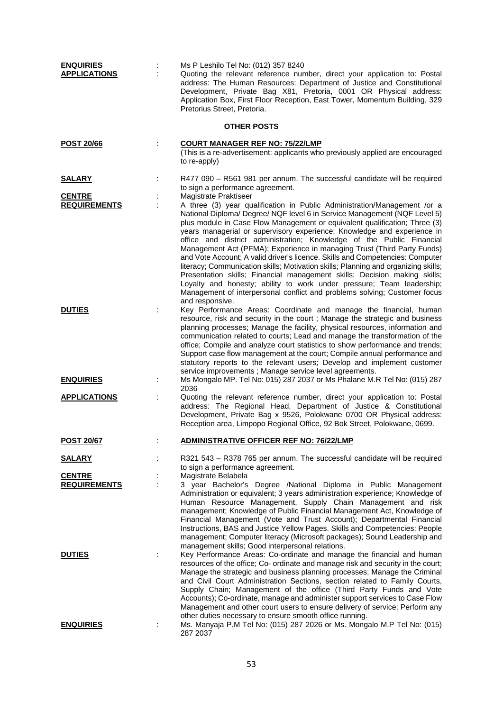| <b>ENQUIRIES</b><br><b>APPLICATIONS</b> | Ms P Leshilo Tel No: (012) 357 8240<br>Quoting the relevant reference number, direct your application to: Postal<br>address: The Human Resources: Department of Justice and Constitutional                                                                                                                                                                                                                                                                                                                                                                                                                                                                                                                                                                                                                                                                                                                                                                                            |
|-----------------------------------------|---------------------------------------------------------------------------------------------------------------------------------------------------------------------------------------------------------------------------------------------------------------------------------------------------------------------------------------------------------------------------------------------------------------------------------------------------------------------------------------------------------------------------------------------------------------------------------------------------------------------------------------------------------------------------------------------------------------------------------------------------------------------------------------------------------------------------------------------------------------------------------------------------------------------------------------------------------------------------------------|
|                                         | Development, Private Bag X81, Pretoria, 0001 OR Physical address:<br>Application Box, First Floor Reception, East Tower, Momentum Building, 329<br>Pretorius Street, Pretoria.                                                                                                                                                                                                                                                                                                                                                                                                                                                                                                                                                                                                                                                                                                                                                                                                        |
|                                         | <b>OTHER POSTS</b>                                                                                                                                                                                                                                                                                                                                                                                                                                                                                                                                                                                                                                                                                                                                                                                                                                                                                                                                                                    |
| <u>POST 20/66</u>                       | <b>COURT MANAGER REF NO: 75/22/LMP</b><br>(This is a re-advertisement: applicants who previously applied are encouraged<br>to re-apply)                                                                                                                                                                                                                                                                                                                                                                                                                                                                                                                                                                                                                                                                                                                                                                                                                                               |
| <b>SALARY</b>                           | R477 090 - R561 981 per annum. The successful candidate will be required<br>to sign a performance agreement.                                                                                                                                                                                                                                                                                                                                                                                                                                                                                                                                                                                                                                                                                                                                                                                                                                                                          |
| <b>CENTRE</b><br><b>REQUIREMENTS</b>    | Magistrate Praktiseer<br>A three (3) year qualification in Public Administration/Management /or a<br>National Diploma/ Degree/ NQF level 6 in Service Management (NQF Level 5)<br>plus module in Case Flow Management or equivalent qualification; Three (3)<br>years managerial or supervisory experience; Knowledge and experience in<br>office and district administration; Knowledge of the Public Financial<br>Management Act (PFMA); Experience in managing Trust (Third Party Funds)<br>and Vote Account; A valid driver's licence. Skills and Competencies: Computer<br>literacy; Communication skills; Motivation skills; Planning and organizing skills;<br>Presentation skills; Financial management skills; Decision making skills;<br>Loyalty and honesty; ability to work under pressure; Team leadership;<br>Management of interpersonal conflict and problems solving; Customer focus                                                                                 |
| <b>DUTIES</b>                           | and responsive.<br>Key Performance Areas: Coordinate and manage the financial, human<br>resource, risk and security in the court ; Manage the strategic and business<br>planning processes; Manage the facility, physical resources, information and<br>communication related to courts; Lead and manage the transformation of the<br>office; Compile and analyze court statistics to show performance and trends;<br>Support case flow management at the court; Compile annual performance and<br>statutory reports to the relevant users; Develop and implement customer                                                                                                                                                                                                                                                                                                                                                                                                            |
| <b>ENQUIRIES</b>                        | service improvements ; Manage service level agreements.<br>Ms Mongalo MP. Tel No: 015) 287 2037 or Ms Phalane M.R Tel No: (015) 287<br>2036                                                                                                                                                                                                                                                                                                                                                                                                                                                                                                                                                                                                                                                                                                                                                                                                                                           |
| <b>APPLICATIONS</b>                     | Quoting the relevant reference number, direct your application to: Postal<br>address: The Regional Head, Department of Justice & Constitutional<br>Development, Private Bag x 9526, Polokwane 0700 OR Physical address:<br>Reception area, Limpopo Regional Office, 92 Bok Street, Polokwane, 0699.                                                                                                                                                                                                                                                                                                                                                                                                                                                                                                                                                                                                                                                                                   |
| <b>POST 20/67</b>                       | <b>ADMINISTRATIVE OFFICER REF NO: 76/22/LMP</b>                                                                                                                                                                                                                                                                                                                                                                                                                                                                                                                                                                                                                                                                                                                                                                                                                                                                                                                                       |
| <u>SALARY</u>                           | R321 543 - R378 765 per annum. The successful candidate will be required<br>to sign a performance agreement.                                                                                                                                                                                                                                                                                                                                                                                                                                                                                                                                                                                                                                                                                                                                                                                                                                                                          |
| <b>CENTRE</b><br><b>REQUIREMENTS</b>    | Magistrate Belabela<br>3 year Bachelor's Degree /National Diploma in Public Management<br>Administration or equivalent; 3 years administration experience; Knowledge of<br>Human Resource Management, Supply Chain Management and risk                                                                                                                                                                                                                                                                                                                                                                                                                                                                                                                                                                                                                                                                                                                                                |
| <b>DUTIES</b>                           | management; Knowledge of Public Financial Management Act, Knowledge of<br>Financial Management (Vote and Trust Account); Departmental Financial<br>Instructions, BAS and Justice Yellow Pages. Skills and Competencies: People<br>management; Computer literacy (Microsoft packages); Sound Leadership and<br>management skills; Good interpersonal relations.<br>Key Performance Areas: Co-ordinate and manage the financial and human<br>resources of the office; Co- ordinate and manage risk and security in the court;<br>Manage the strategic and business planning processes; Manage the Criminal<br>and Civil Court Administration Sections, section related to Family Courts,<br>Supply Chain; Management of the office (Third Party Funds and Vote<br>Accounts); Co-ordinate, manage and administer support services to Case Flow<br>Management and other court users to ensure delivery of service; Perform any<br>other duties necessary to ensure smooth office running. |
| <b>ENQUIRIES</b>                        | Ms. Manyaja P.M Tel No: (015) 287 2026 or Ms. Mongalo M.P Tel No: (015)<br>287 2037                                                                                                                                                                                                                                                                                                                                                                                                                                                                                                                                                                                                                                                                                                                                                                                                                                                                                                   |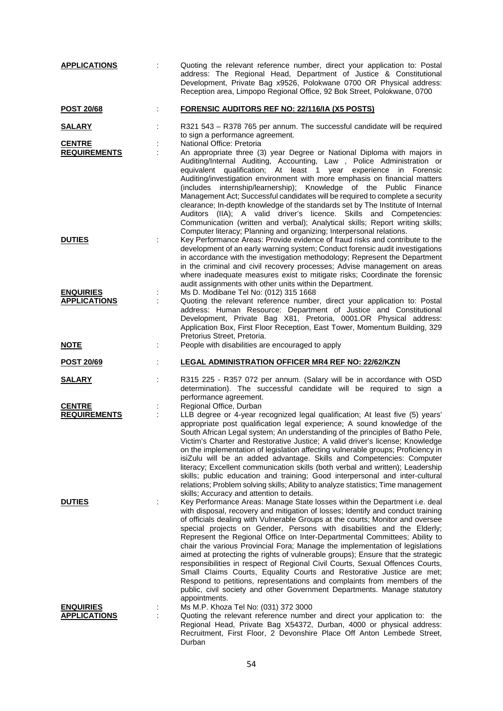| <b>APPLICATIONS</b>                     |    | Quoting the relevant reference number, direct your application to: Postal<br>address: The Regional Head, Department of Justice & Constitutional<br>Development, Private Bag x9526, Polokwane 0700 OR Physical address:<br>Reception area, Limpopo Regional Office, 92 Bok Street, Polokwane, 0700                                                                                                                                                                                                                                                                                                                                                                                                                                                                                                                                                                                                             |
|-----------------------------------------|----|---------------------------------------------------------------------------------------------------------------------------------------------------------------------------------------------------------------------------------------------------------------------------------------------------------------------------------------------------------------------------------------------------------------------------------------------------------------------------------------------------------------------------------------------------------------------------------------------------------------------------------------------------------------------------------------------------------------------------------------------------------------------------------------------------------------------------------------------------------------------------------------------------------------|
| <b>POST 20/68</b>                       |    | <b>FORENSIC AUDITORS REF NO: 22/116/IA (X5 POSTS)</b>                                                                                                                                                                                                                                                                                                                                                                                                                                                                                                                                                                                                                                                                                                                                                                                                                                                         |
| <u>SALARY</u>                           |    | R321 543 - R378 765 per annum. The successful candidate will be required<br>to sign a performance agreement.                                                                                                                                                                                                                                                                                                                                                                                                                                                                                                                                                                                                                                                                                                                                                                                                  |
| <b>CENTRE</b><br><b>REQUIREMENTS</b>    |    | National Office: Pretoria<br>An appropriate three (3) year Degree or National Diploma with majors in                                                                                                                                                                                                                                                                                                                                                                                                                                                                                                                                                                                                                                                                                                                                                                                                          |
|                                         |    | Auditing/Internal Auditing, Accounting, Law, Police Administration or<br>equivalent qualification; At least 1 year experience in Forensic<br>Auditing/investigation environment with more emphasis on financial matters<br>(includes internship/learnership); Knowledge of the Public Finance<br>Management Act; Successful candidates will be required to complete a security<br>clearance; In-depth knowledge of the standards set by The Institute of Internal<br>Auditors (IIA); A valid driver's licence. Skills and Competencies:<br>Communication (written and verbal); Analytical skills; Report writing skills;<br>Computer literacy; Planning and organizing; Interpersonal relations.                                                                                                                                                                                                              |
| <b>DUTIES</b>                           |    | Key Performance Areas: Provide evidence of fraud risks and contribute to the<br>development of an early warning system; Conduct forensic audit investigations<br>in accordance with the investigation methodology; Represent the Department<br>in the criminal and civil recovery processes; Advise management on areas<br>where inadequate measures exist to mitigate risks; Coordinate the forensic<br>audit assignments with other units within the Department.                                                                                                                                                                                                                                                                                                                                                                                                                                            |
| <b>ENQUIRIES</b><br><b>APPLICATIONS</b> | ÷  | Ms D. Modibane Tel No: (012) 315 1668<br>Quoting the relevant reference number, direct your application to: Postal<br>address: Human Resource: Department of Justice and Constitutional<br>Development, Private Bag X81, Pretoria, 0001.OR Physical address:<br>Application Box, First Floor Reception, East Tower, Momentum Building, 329<br>Pretorius Street, Pretoria.                                                                                                                                                                                                                                                                                                                                                                                                                                                                                                                                     |
| <u>NOTE</u>                             | Ì. | People with disabilities are encouraged to apply                                                                                                                                                                                                                                                                                                                                                                                                                                                                                                                                                                                                                                                                                                                                                                                                                                                              |
|                                         |    |                                                                                                                                                                                                                                                                                                                                                                                                                                                                                                                                                                                                                                                                                                                                                                                                                                                                                                               |
| POST 20/69                              |    | <b>LEGAL ADMINISTRATION OFFICER MR4 REF NO: 22/62/KZN</b>                                                                                                                                                                                                                                                                                                                                                                                                                                                                                                                                                                                                                                                                                                                                                                                                                                                     |
| <b>SALARY</b>                           |    | R315 225 - R357 072 per annum. (Salary will be in accordance with OSD<br>determination). The successful candidate will be required to sign a<br>performance agreement.                                                                                                                                                                                                                                                                                                                                                                                                                                                                                                                                                                                                                                                                                                                                        |
| <b>CENTRE</b><br><b>REQUIREMENTS</b>    |    | Regional Office, Durban<br>LLB degree or 4-year recognized legal qualification; At least five (5) years'<br>appropriate post qualification legal experience; A sound knowledge of the<br>South African Legal system; An understanding of the principles of Batho Pele,<br>Victim's Charter and Restorative Justice; A valid driver's license; Knowledge<br>on the implementation of legislation affecting vulnerable groups; Proficiency in<br>isiZulu will be an added advantage. Skills and Competencies: Computer<br>literacy; Excellent communication skills (both verbal and written); Leadership<br>skills; public education and training; Good interpersonal and inter-cultural<br>relations; Problem solving skills; Ability to analyze statistics; Time management<br>skills; Accuracy and attention to details.                                                                                     |
| <b>DUTIES</b>                           |    | Key Performance Areas: Manage State losses within the Department i.e. deal<br>with disposal, recovery and mitigation of losses; Identify and conduct training<br>of officials dealing with Vulnerable Groups at the courts; Monitor and oversee<br>special projects on Gender, Persons with disabilities and the Elderly;<br>Represent the Regional Office on Inter-Departmental Committees; Ability to<br>chair the various Provincial Fora; Manage the implementation of legislations<br>aimed at protecting the rights of vulnerable groups); Ensure that the strategic<br>responsibilities in respect of Regional Civil Courts, Sexual Offences Courts,<br>Small Claims Courts, Equality Courts and Restorative Justice are met;<br>Respond to petitions, representations and complaints from members of the<br>public, civil society and other Government Departments. Manage statutory<br>appointments. |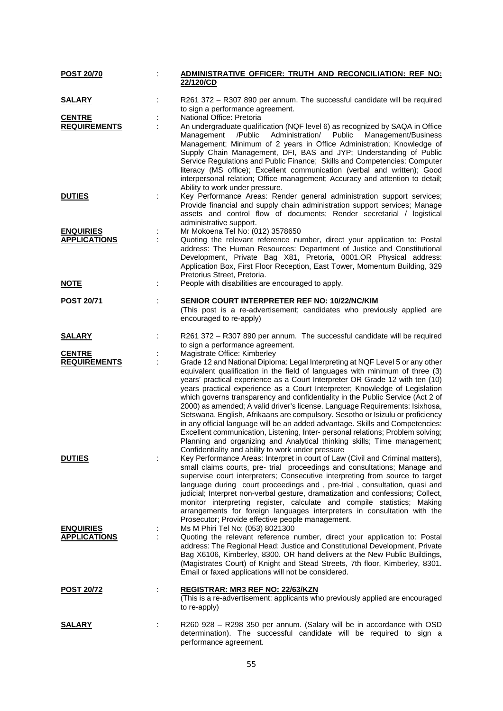| <u>POST 20/70</u>                       | <u>ADMINISTRATIVE OFFICER: TRUTH AND RECONCILIATION: REF NO:</u><br>22/120/CD                                                                                                                                                                                                                                                                                                                                                                                                                                                                                                                                                                                                                                                                                                                                                                                                                                          |
|-----------------------------------------|------------------------------------------------------------------------------------------------------------------------------------------------------------------------------------------------------------------------------------------------------------------------------------------------------------------------------------------------------------------------------------------------------------------------------------------------------------------------------------------------------------------------------------------------------------------------------------------------------------------------------------------------------------------------------------------------------------------------------------------------------------------------------------------------------------------------------------------------------------------------------------------------------------------------|
| <u>SALARY</u>                           | R261 372 - R307 890 per annum. The successful candidate will be required<br>to sign a performance agreement.                                                                                                                                                                                                                                                                                                                                                                                                                                                                                                                                                                                                                                                                                                                                                                                                           |
| <b>CENTRE</b><br><b>REQUIREMENTS</b>    | National Office: Pretoria<br>An undergraduate qualification (NQF level 6) as recognized by SAQA in Office<br>Public<br>Management/Business<br>Management /Public<br>Administration/<br>Management; Minimum of 2 years in Office Administration; Knowledge of<br>Supply Chain Management, DFI, BAS and JYP; Understanding of Public<br>Service Regulations and Public Finance; Skills and Competencies: Computer<br>literacy (MS office); Excellent communication (verbal and written); Good<br>interpersonal relation; Office management; Accuracy and attention to detail;<br>Ability to work under pressure.                                                                                                                                                                                                                                                                                                         |
| <b>DUTIES</b>                           | Key Performance Areas: Render general administration support services;<br>Provide financial and supply chain administration support services; Manage<br>assets and control flow of documents; Render secretarial / logistical<br>administrative support.                                                                                                                                                                                                                                                                                                                                                                                                                                                                                                                                                                                                                                                               |
| <b>ENQUIRIES</b><br><b>APPLICATIONS</b> | Mr Mokoena Tel No: (012) 3578650<br>Quoting the relevant reference number, direct your application to: Postal<br>address: The Human Resources: Department of Justice and Constitutional<br>Development, Private Bag X81, Pretoria, 0001.OR Physical address:<br>Application Box, First Floor Reception, East Tower, Momentum Building, 329<br>Pretorius Street, Pretoria.                                                                                                                                                                                                                                                                                                                                                                                                                                                                                                                                              |
| <u>NOTE</u>                             | People with disabilities are encouraged to apply.                                                                                                                                                                                                                                                                                                                                                                                                                                                                                                                                                                                                                                                                                                                                                                                                                                                                      |
| <b>POST 20/71</b>                       | <b>SENIOR COURT INTERPRETER REF NO: 10/22/NC/KIM</b><br>(This post is a re-advertisement; candidates who previously applied are<br>encouraged to re-apply)                                                                                                                                                                                                                                                                                                                                                                                                                                                                                                                                                                                                                                                                                                                                                             |
| <u>SALARY</u>                           | R261 372 - R307 890 per annum. The successful candidate will be required<br>to sign a performance agreement.                                                                                                                                                                                                                                                                                                                                                                                                                                                                                                                                                                                                                                                                                                                                                                                                           |
| <b>CENTRE</b><br><b>REQUIREMENTS</b>    | Magistrate Office: Kimberley<br>Grade 12 and National Diploma: Legal Interpreting at NQF Level 5 or any other<br>equivalent qualification in the field of languages with minimum of three (3)<br>years' practical experience as a Court Interpreter OR Grade 12 with ten (10)<br>years practical experience as a Court Interpreter; Knowledge of Legislation<br>which governs transparency and confidentiality in the Public Service (Act 2 of<br>2000) as amended; A valid driver's license. Language Requirements: Isixhosa,<br>Setswana, English, Afrikaans are compulsory. Sesotho or Isizulu or proficiency<br>in any official language will be an added advantage. Skills and Competencies:<br>Excellent communication, Listening, Inter- personal relations; Problem solving;<br>Planning and organizing and Analytical thinking skills; Time management;<br>Confidentiality and ability to work under pressure |
| <b>DUTIES</b>                           | Key Performance Areas: Interpret in court of Law (Civil and Criminal matters),<br>small claims courts, pre- trial proceedings and consultations; Manage and<br>supervise court interpreters; Consecutive interpreting from source to target<br>language during court proceedings and, pre-trial, consultation, quasi and<br>judicial; Interpret non-verbal gesture, dramatization and confessions; Collect,<br>monitor interpreting register, calculate and compile statistics; Making<br>arrangements for foreign languages interpreters in consultation with the<br>Prosecutor; Provide effective people management.                                                                                                                                                                                                                                                                                                 |
| <b>ENQUIRIES</b><br><b>APPLICATIONS</b> | Ms M Phiri Tel No: (053) 8021300<br>Quoting the relevant reference number, direct your application to: Postal<br>address: The Regional Head: Justice and Constitutional Development, Private<br>Bag X6106, Kimberley, 8300. OR hand delivers at the New Public Buildings,<br>(Magistrates Court) of Knight and Stead Streets, 7th floor, Kimberley, 8301.<br>Email or faxed applications will not be considered.                                                                                                                                                                                                                                                                                                                                                                                                                                                                                                       |
| <u>POST 20/72</u>                       | <u>REGISTRAR: MR3 REF NO: 22/63/KZN</u><br>(This is a re-advertisement: applicants who previously applied are encouraged<br>to re-apply)                                                                                                                                                                                                                                                                                                                                                                                                                                                                                                                                                                                                                                                                                                                                                                               |
| <b>SALARY</b>                           | R260 928 - R298 350 per annum. (Salary will be in accordance with OSD<br>determination). The successful candidate will be required to sign a<br>performance agreement.                                                                                                                                                                                                                                                                                                                                                                                                                                                                                                                                                                                                                                                                                                                                                 |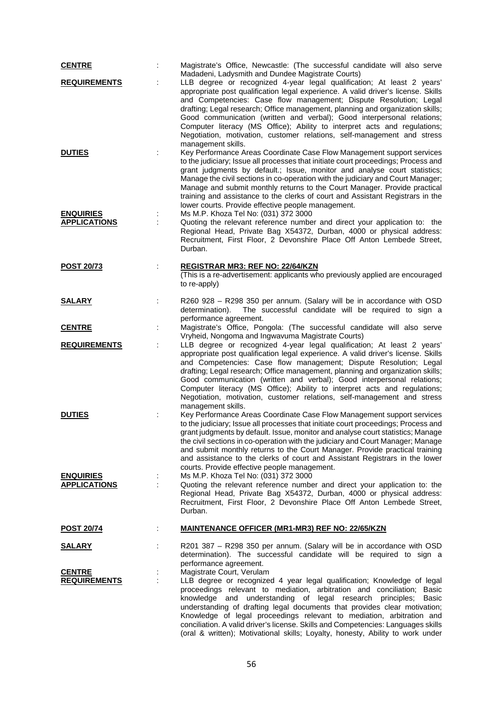| <b>CENTRE</b>                           | Magistrate's Office, Newcastle: (The successful candidate will also serve<br>Madadeni, Ladysmith and Dundee Magistrate Courts)                                                                                                                                                                                                                                                                                                                                                                                                                                                                                                  |
|-----------------------------------------|---------------------------------------------------------------------------------------------------------------------------------------------------------------------------------------------------------------------------------------------------------------------------------------------------------------------------------------------------------------------------------------------------------------------------------------------------------------------------------------------------------------------------------------------------------------------------------------------------------------------------------|
| <b>REQUIREMENTS</b>                     | LLB degree or recognized 4-year legal qualification; At least 2 years'<br>appropriate post qualification legal experience. A valid driver's license. Skills<br>and Competencies: Case flow management; Dispute Resolution; Legal<br>drafting; Legal research; Office management, planning and organization skills;<br>Good communication (written and verbal); Good interpersonal relations;<br>Computer literacy (MS Office); Ability to interpret acts and regulations;<br>Negotiation, motivation, customer relations, self-management and stress<br>management skills.                                                      |
| <b>DUTIES</b>                           | Key Performance Areas Coordinate Case Flow Management support services<br>to the judiciary; Issue all processes that initiate court proceedings; Process and<br>grant judgments by default.; Issue, monitor and analyse court statistics;<br>Manage the civil sections in co-operation with the judiciary and Court Manager;<br>Manage and submit monthly returns to the Court Manager. Provide practical<br>training and assistance to the clerks of court and Assistant Registrars in the<br>lower courts. Provide effective people management.                                                                               |
| <b>ENQUIRIES</b><br><b>APPLICATIONS</b> | Ms M.P. Khoza Tel No: (031) 372 3000<br>Quoting the relevant reference number and direct your application to: the<br>Regional Head, Private Bag X54372, Durban, 4000 or physical address:<br>Recruitment, First Floor, 2 Devonshire Place Off Anton Lembede Street,<br>Durban.                                                                                                                                                                                                                                                                                                                                                  |
| <b>POST 20/73</b>                       | <b>REGISTRAR MR3: REF NO: 22/64/KZN</b><br>(This is a re-advertisement: applicants who previously applied are encouraged<br>to re-apply)                                                                                                                                                                                                                                                                                                                                                                                                                                                                                        |
| <u>SALARY</u>                           | R260 928 – R298 350 per annum. (Salary will be in accordance with OSD<br>determination).<br>The successful candidate will be required to sign a<br>performance agreement.                                                                                                                                                                                                                                                                                                                                                                                                                                                       |
| <b>CENTRE</b>                           | Magistrate's Office, Pongola: (The successful candidate will also serve                                                                                                                                                                                                                                                                                                                                                                                                                                                                                                                                                         |
| <b>REQUIREMENTS</b>                     | Vryheid, Nongoma and Ingwavuma Magistrate Courts)<br>LLB degree or recognized 4-year legal qualification; At least 2 years'<br>appropriate post qualification legal experience. A valid driver's license. Skills<br>and Competencies: Case flow management; Dispute Resolution; Legal<br>drafting; Legal research; Office management, planning and organization skills;<br>Good communication (written and verbal); Good interpersonal relations;<br>Computer literacy (MS Office); Ability to interpret acts and regulations;<br>Negotiation, motivation, customer relations, self-management and stress<br>management skills. |
| <b>DUTIES</b>                           | Key Performance Areas Coordinate Case Flow Management support services<br>to the judiciary; Issue all processes that initiate court proceedings; Process and<br>grant judgments by default. Issue, monitor and analyse court statistics; Manage<br>the civil sections in co-operation with the judiciary and Court Manager; Manage<br>and submit monthly returns to the Court Manager. Provide practical training<br>and assistance to the clerks of court and Assistant Registrars in the lower<br>courts. Provide effective people management.                                                                                |
| <b>ENQUIRIES</b><br><b>APPLICATIONS</b> | Ms M.P. Khoza Tel No: (031) 372 3000<br>Quoting the relevant reference number and direct your application to: the<br>Regional Head, Private Bag X54372, Durban, 4000 or physical address:<br>Recruitment, First Floor, 2 Devonshire Place Off Anton Lembede Street,<br>Durban.                                                                                                                                                                                                                                                                                                                                                  |
| <b>POST 20/74</b>                       | <b>MAINTENANCE OFFICER (MR1-MR3) REF NO: 22/65/KZN</b>                                                                                                                                                                                                                                                                                                                                                                                                                                                                                                                                                                          |
| <u>SALARY</u>                           | R201 387 - R298 350 per annum. (Salary will be in accordance with OSD<br>determination). The successful candidate will be required to sign a<br>performance agreement.                                                                                                                                                                                                                                                                                                                                                                                                                                                          |
| <b>CENTRE</b><br><b>REQUIREMENTS</b>    | Magistrate Court, Verulam<br>LLB degree or recognized 4 year legal qualification; Knowledge of legal<br>proceedings relevant to mediation, arbitration and conciliation; Basic<br>knowledge and understanding of legal research principles;<br>Basic<br>understanding of drafting legal documents that provides clear motivation;<br>Knowledge of legal proceedings relevant to mediation, arbitration and<br>conciliation. A valid driver's license. Skills and Competencies: Languages skills<br>(oral & written); Motivational skills; Loyalty, honesty, Ability to work under                                               |